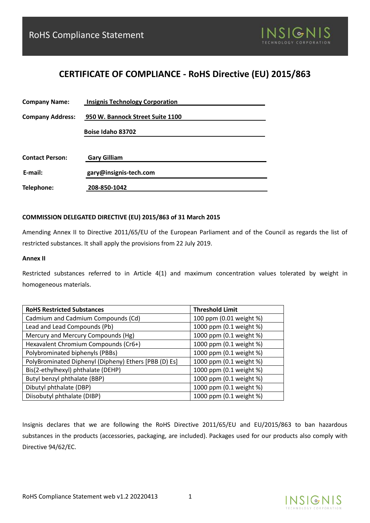

## **CERTIFICATE OF COMPLIANCE - RoHS Directive (EU) 2015/863**

| <b>Company Name:</b>    | <b>Insignis Technology Corporation</b> |
|-------------------------|----------------------------------------|
| <b>Company Address:</b> | 950 W. Bannock Street Suite 1100       |
|                         | Boise Idaho 83702                      |
|                         |                                        |
| <b>Contact Person:</b>  | <b>Gary Gilliam</b>                    |
| E-mail:                 | gary@insignis-tech.com                 |
| Telephone:              | 208-850-1042                           |

## **COMMISSION DELEGATED DIRECTIVE (EU) 2015/863 of 31 March 2015**

Amending Annex II to Directive 2011/65/EU of the European Parliament and of the Council as regards the list of restricted substances. It shall apply the provisions from 22 July 2019.

## **Annex II**

Restricted substances referred to in Article 4(1) and maximum concentration values tolerated by weight in homogeneous materials.

| <b>RoHS Restricted Substances</b>                     | <b>Threshold Limit</b>  |
|-------------------------------------------------------|-------------------------|
| Cadmium and Cadmium Compounds (Cd)                    | 100 ppm (0.01 weight %) |
| Lead and Lead Compounds (Pb)                          | 1000 ppm (0.1 weight %) |
| Mercury and Mercury Compounds (Hg)                    | 1000 ppm (0.1 weight %) |
| Hexavalent Chromium Compounds (Cr6+)                  | 1000 ppm (0.1 weight %) |
| Polybrominated biphenyls (PBBs)                       | 1000 ppm (0.1 weight %) |
| PolyBrominated Diphenyl (Dipheny) Ethers [PBB (D) Es] | 1000 ppm (0.1 weight %) |
| Bis(2-ethylhexyl) phthalate (DEHP)                    | 1000 ppm (0.1 weight %) |
| Butyl benzyl phthalate (BBP)                          | 1000 ppm (0.1 weight %) |
| Dibutyl phthalate (DBP)                               | 1000 ppm (0.1 weight %) |
| Diisobutyl phthalate (DIBP)                           | 1000 ppm (0.1 weight %) |

Insignis declares that we are following the RoHS Directive 2011/65/EU and EU/2015/863 to ban hazardous substances in the products (accessories, packaging, are included). Packages used for our products also comply with Directive 94/62/EC.